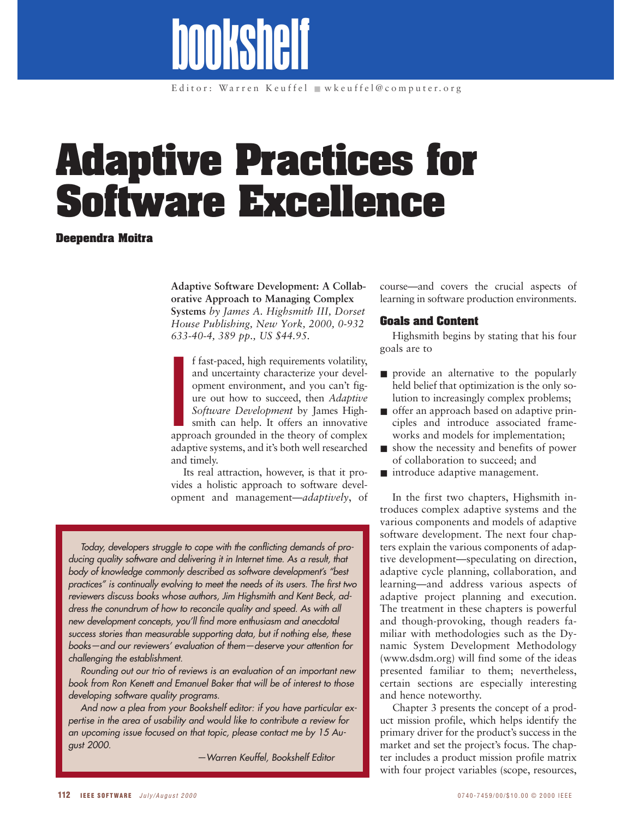# **Adaptive Practices for Software Excellence**

bookshelf

#### **Deependra Moitra**

**Adaptive Software Development: A Collaborative Approach to Managing Complex Systems** *by James A. Highsmith III, Dorset House Publishing, New York, 2000, 0-932 633-40-4, 389 pp., US \$44.95.*

app app f fast-paced, high requirements volatility, and uncertainty characterize your development environment, and you can't figure out how to succeed, then *Adaptive Software Development* by James Highsmith can help. It offers an innovative approach grounded in the theory of complex adaptive systems, and it's both well researched and timely.

Its real attraction, however, is that it provides a holistic approach to software development and management—*adaptively*, of

*Today, developers struggle to cope with the conflicting demands of producing quality software and delivering it in Internet time. As a result, that body of knowledge commonly described as software development's "best practices" is continually evolving to meet the needs of its users. The first two reviewers discuss books whose authors, Jim Highsmith and Kent Beck, address the conundrum of how to reconcile quality and speed. As with all new development concepts, you'll find more enthusiasm and anecdotal success stories than measurable supporting data, but if nothing else, these books—and our reviewers' evaluation of them—deserve your attention for challenging the establishment.* 

*Rounding out our trio of reviews is an evaluation of an important new book from Ron Kenett and Emanuel Baker that will be of interest to those developing software quality programs.*

*And now a plea from your Bookshelf editor: if you have particular expertise in the area of usability and would like to contribute a review for an upcoming issue focused on that topic, please contact me by 15 August 2000.* 

*—Warren Keuffel, Bookshelf Editor*

course—and covers the crucial aspects of learning in software production environments.

#### **Goals and Content**

Highsmith begins by stating that his four goals are to

- provide an alternative to the popularly held belief that optimization is the only solution to increasingly complex problems;
- offer an approach based on adaptive principles and introduce associated frameworks and models for implementation;
- show the necessity and benefits of power of collaboration to succeed; and
- introduce adaptive management.

In the first two chapters, Highsmith introduces complex adaptive systems and the various components and models of adaptive software development. The next four chapters explain the various components of adaptive development—speculating on direction, adaptive cycle planning, collaboration, and learning—and address various aspects of adaptive project planning and execution. The treatment in these chapters is powerful and though-provoking, though readers familiar with methodologies such as the Dynamic System Development Methodology (www.dsdm.org) will find some of the ideas presented familiar to them; nevertheless, certain sections are especially interesting and hence noteworthy.

Chapter 3 presents the concept of a product mission profile, which helps identify the primary driver for the product's success in the market and set the project's focus. The chapter includes a product mission profile matrix with four project variables (scope, resources,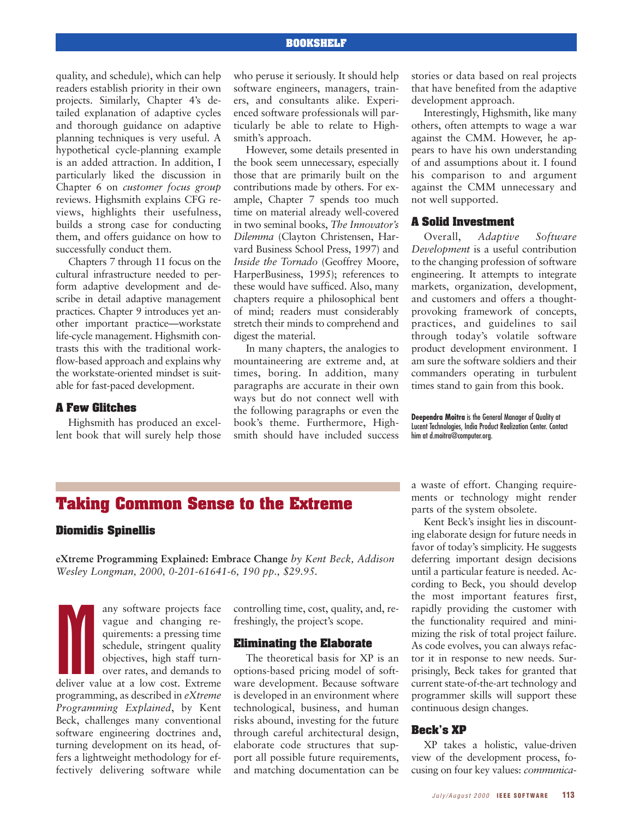#### **BOOKSHELF**

quality, and schedule), which can help readers establish priority in their own projects. Similarly, Chapter 4's detailed explanation of adaptive cycles and thorough guidance on adaptive planning techniques is very useful. A hypothetical cycle-planning example is an added attraction. In addition, I particularly liked the discussion in Chapter 6 on *customer focus group* reviews. Highsmith explains CFG reviews, highlights their usefulness, builds a strong case for conducting them, and offers guidance on how to successfully conduct them.

Chapters 7 through 11 focus on the cultural infrastructure needed to perform adaptive development and describe in detail adaptive management practices. Chapter 9 introduces yet another important practice—workstate life-cycle management. Highsmith contrasts this with the traditional workflow-based approach and explains why the workstate-oriented mindset is suitable for fast-paced development.

#### **A Few Glitches**

Highsmith has produced an excellent book that will surely help those who peruse it seriously. It should help software engineers, managers, trainers, and consultants alike. Experienced software professionals will particularly be able to relate to Highsmith's approach.

However, some details presented in the book seem unnecessary, especially those that are primarily built on the contributions made by others. For example, Chapter 7 spends too much time on material already well-covered in two seminal books, *The Innovator's Dilemma* (Clayton Christensen, Harvard Business School Press, 1997) and *Inside the Tornado* (Geoffrey Moore, HarperBusiness, 1995); references to these would have sufficed. Also, many chapters require a philosophical bent of mind; readers must considerably stretch their minds to comprehend and digest the material.

In many chapters, the analogies to mountaineering are extreme and, at times, boring. In addition, many paragraphs are accurate in their own ways but do not connect well with the following paragraphs or even the book's theme. Furthermore, Highsmith should have included success stories or data based on real projects that have benefited from the adaptive development approach.

Interestingly, Highsmith, like many others, often attempts to wage a war against the CMM. However, he appears to have his own understanding of and assumptions about it. I found his comparison to and argument against the CMM unnecessary and not well supported.

#### **A Solid Investment**

Overall, *Adaptive Software Development* is a useful contribution to the changing profession of software engineering. It attempts to integrate markets, organization, development, and customers and offers a thoughtprovoking framework of concepts, practices, and guidelines to sail through today's volatile software product development environment. I am sure the software soldiers and their commanders operating in turbulent times stand to gain from this book.

**Deependra Moitra** is the General Manager of Quality at Lucent Technologies, India Product Realization Center. Contact him at d.moitra@computer.org.

### **Taking Common Sense to the Extreme**

#### **Diomidis Spinellis**

**eXtreme Programming Explained: Embrace Change** *by Kent Beck, Addison Wesley Longman, 2000, 0-201-61641-6, 190 pp., \$29.95.*

Multiple of the Contract of the Contract of the Contract of the Contract of the Contract of the Contract of the Contract of the Contract of the Contract of the Contract of the Contract of the Contract of the Contract of th any software projects face vague and changing requirements: a pressing time schedule, stringent quality objectives, high staff turnover rates, and demands to deliver value at a low cost. Extreme programming, as described in *eXtreme Programming Explained*, by Kent Beck, challenges many conventional software engineering doctrines and, turning development on its head, offers a lightweight methodology for effectively delivering software while

controlling time, cost, quality, and, refreshingly, the project's scope.

#### **Eliminating the Elaborate**

The theoretical basis for XP is an options-based pricing model of software development. Because software is developed in an environment where technological, business, and human risks abound, investing for the future through careful architectural design, elaborate code structures that support all possible future requirements, and matching documentation can be a waste of effort. Changing requirements or technology might render parts of the system obsolete.

Kent Beck's insight lies in discounting elaborate design for future needs in favor of today's simplicity. He suggests deferring important design decisions until a particular feature is needed. According to Beck, you should develop the most important features first, rapidly providing the customer with the functionality required and minimizing the risk of total project failure. As code evolves, you can always refactor it in response to new needs. Surprisingly, Beck takes for granted that current state-of-the-art technology and programmer skills will support these continuous design changes.

#### **Beck's XP**

XP takes a holistic, value-driven view of the development process, focusing on four key values: *communica-*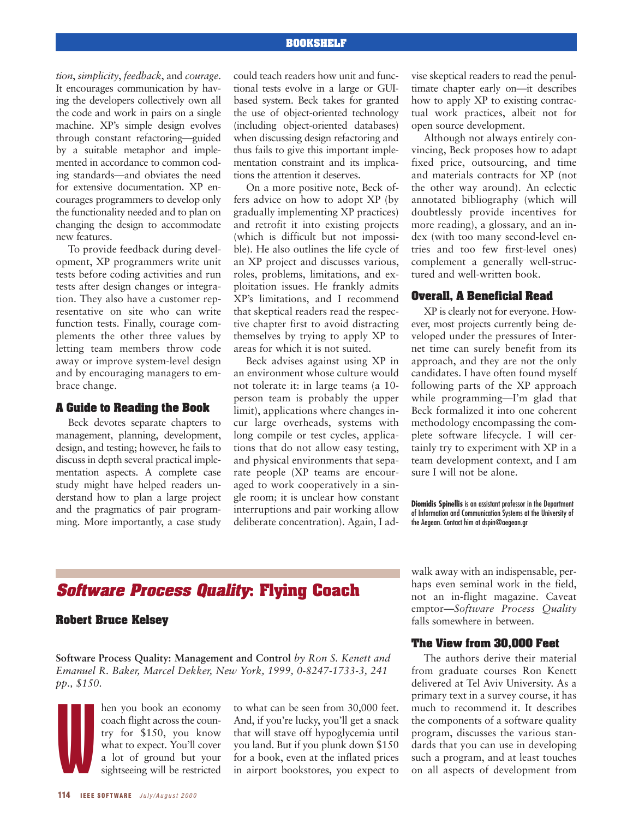#### **BOOKSHELF**

*tion*, *simplicity*, *feedback*, and *courage*. It encourages communication by having the developers collectively own all the code and work in pairs on a single machine. XP's simple design evolves through constant refactoring—guided by a suitable metaphor and implemented in accordance to common coding standards—and obviates the need for extensive documentation. XP encourages programmers to develop only the functionality needed and to plan on changing the design to accommodate new features.

To provide feedback during development, XP programmers write unit tests before coding activities and run tests after design changes or integration. They also have a customer representative on site who can write function tests. Finally, courage complements the other three values by letting team members throw code away or improve system-level design and by encouraging managers to embrace change.

#### **A Guide to Reading the Book**

Beck devotes separate chapters to management, planning, development, design, and testing; however, he fails to discuss in depth several practical implementation aspects. A complete case study might have helped readers understand how to plan a large project and the pragmatics of pair programming. More importantly, a case study

could teach readers how unit and functional tests evolve in a large or GUIbased system. Beck takes for granted the use of object-oriented technology (including object-oriented databases) when discussing design refactoring and thus fails to give this important implementation constraint and its implications the attention it deserves.

On a more positive note, Beck offers advice on how to adopt XP (by gradually implementing XP practices) and retrofit it into existing projects (which is difficult but not impossible). He also outlines the life cycle of an XP project and discusses various, roles, problems, limitations, and exploitation issues. He frankly admits XP's limitations, and I recommend that skeptical readers read the respective chapter first to avoid distracting themselves by trying to apply XP to areas for which it is not suited.

Beck advises against using XP in an environment whose culture would not tolerate it: in large teams (a 10 person team is probably the upper limit), applications where changes incur large overheads, systems with long compile or test cycles, applications that do not allow easy testing, and physical environments that separate people (XP teams are encouraged to work cooperatively in a single room; it is unclear how constant interruptions and pair working allow deliberate concentration). Again, I advise skeptical readers to read the penultimate chapter early on—it describes how to apply XP to existing contractual work practices, albeit not for open source development.

Although not always entirely convincing, Beck proposes how to adapt fixed price, outsourcing, and time and materials contracts for XP (not the other way around). An eclectic annotated bibliography (which will doubtlessly provide incentives for more reading), a glossary, and an index (with too many second-level entries and too few first-level ones) complement a generally well-structured and well-written book.

#### **Overall, A Beneficial Read**

XP is clearly not for everyone. However, most projects currently being developed under the pressures of Internet time can surely benefit from its approach, and they are not the only candidates. I have often found myself following parts of the XP approach while programming—I'm glad that Beck formalized it into one coherent methodology encompassing the complete software lifecycle. I will certainly try to experiment with XP in a team development context, and I am sure I will not be alone.

**Diomidis Spinellis** is an assistant professor in the Department of Information and Communication Systems at the University of the Aegean. Contact him at dspin@aegean.gr

## **Software Process Quality: Flying Coach**

#### **Robert Bruce Kelsey**

**Software Process Quality: Management and Control** *by Ron S. Kenett and Emanuel R. Baker, Marcel Dekker, New York, 1999, 0-8247-1733-3, 241 pp., \$150.*

W hen you book an economy coach flight across the country for \$150, you know what to expect. You'll cover a lot of ground but your sightseeing will be restricted

to what can be seen from 30,000 feet. And, if you're lucky, you'll get a snack that will stave off hypoglycemia until you land. But if you plunk down \$150 for a book, even at the inflated prices in airport bookstores, you expect to

walk away with an indispensable, perhaps even seminal work in the field, not an in-flight magazine. Caveat emptor—*Software Process Quality* falls somewhere in between.

#### **The View from 30,000 Feet**

The authors derive their material from graduate courses Ron Kenett delivered at Tel Aviv University. As a primary text in a survey course, it has much to recommend it. It describes the components of a software quality program, discusses the various standards that you can use in developing such a program, and at least touches on all aspects of development from